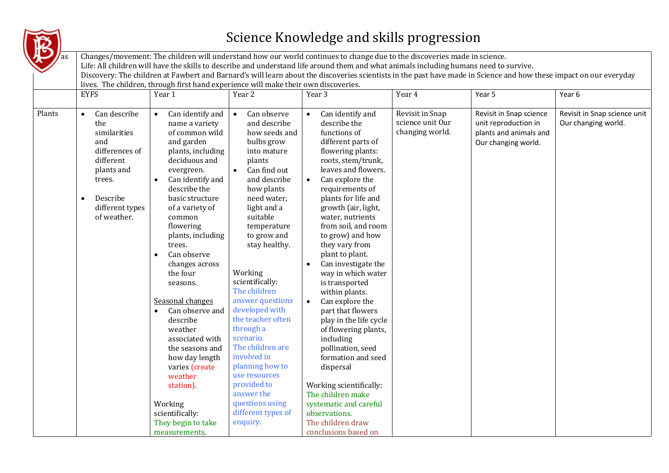

## Science Knowledge and skills progression

|        | <b>EYFS</b>                                                                                                                                                  | lives. The children, through first hand experience will make their own discoveries.<br>Year 1                                                                                                                                                                                                                                                                                                                                                                                                                                                                                           | Year 2                                                                                                                                                                                                                                                                                                                                                                                                                                                                                                                              | Year 3                                                                                                                                                                                                                                                                                                                                                                                                                                                                                                                                                                                                                                                                                                        | Year 4                                                 | Year 5                                                                                           | Year 6                                              |
|--------|--------------------------------------------------------------------------------------------------------------------------------------------------------------|-----------------------------------------------------------------------------------------------------------------------------------------------------------------------------------------------------------------------------------------------------------------------------------------------------------------------------------------------------------------------------------------------------------------------------------------------------------------------------------------------------------------------------------------------------------------------------------------|-------------------------------------------------------------------------------------------------------------------------------------------------------------------------------------------------------------------------------------------------------------------------------------------------------------------------------------------------------------------------------------------------------------------------------------------------------------------------------------------------------------------------------------|---------------------------------------------------------------------------------------------------------------------------------------------------------------------------------------------------------------------------------------------------------------------------------------------------------------------------------------------------------------------------------------------------------------------------------------------------------------------------------------------------------------------------------------------------------------------------------------------------------------------------------------------------------------------------------------------------------------|--------------------------------------------------------|--------------------------------------------------------------------------------------------------|-----------------------------------------------------|
| Plants | Can describe<br>$\bullet$<br>the<br>similarities<br>and<br>differences of<br>different<br>plants and<br>trees.<br>Describe<br>different types<br>of weather. | Can identify and<br>$\bullet$<br>name a variety<br>of common wild<br>and garden<br>plants, including<br>deciduous and<br>evergreen.<br>Can identify and<br>$\bullet$<br>describe the<br>basic structure<br>of a variety of<br>common<br>flowering<br>plants, including<br>trees.<br>Can observe<br>$\bullet$<br>changes across<br>the four<br>seasons.<br>Seasonal changes<br>Can observe and<br>$\bullet$<br>describe<br>weather<br>associated with<br>the seasons and<br>how day length<br>varies (create<br>weather<br>station).<br>Working<br>scientifically:<br>They begin to take | Can observe<br>$\bullet$<br>and describe<br>how seeds and<br>bulbs grow<br>into mature<br>plants<br>Can find out<br>and describe<br>how plants<br>need water,<br>light and a<br>suitable<br>temperature<br>to grow and<br>stay healthy.<br>Working<br>scientifically:<br>The children<br>answer questions<br>developed with<br>the teacher often<br>through a<br>scenario.<br>The children are<br>involved in<br>planning how to<br>use resources<br>provided to<br>answer the<br>questions using<br>different types of<br>enquiry. | Can identify and<br>describe the<br>functions of<br>different parts of<br>flowering plants:<br>roots, stem/trunk,<br>leaves and flowers.<br>Can explore the<br>$\bullet$<br>requirements of<br>plants for life and<br>growth (air, light,<br>water, nutrients<br>from soil, and room<br>to grow) and how<br>they vary from<br>plant to plant.<br>Can investigate the<br>way in which water<br>is transported<br>within plants.<br>Can explore the<br>part that flowers<br>play in the life cycle<br>of flowering plants,<br>including<br>pollination, seed<br>formation and seed<br>dispersal<br>Working scientifically:<br>The children make<br>systematic and careful<br>observations.<br>The children draw | Revisit in Snap<br>science unit Our<br>changing world. | Revisit in Snap science<br>unit reproduction in<br>plants and animals and<br>Our changing world. | Revisit in Snap science unit<br>Our changing world. |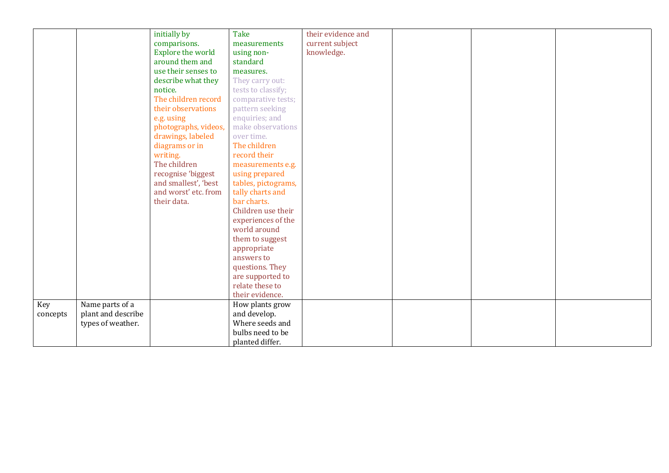|          |                    | initially by         | <b>Take</b>         | their evidence and |  |  |
|----------|--------------------|----------------------|---------------------|--------------------|--|--|
|          |                    | comparisons.         | measurements        | current subject    |  |  |
|          |                    | Explore the world    | using non-          | knowledge.         |  |  |
|          |                    | around them and      | standard            |                    |  |  |
|          |                    | use their senses to  | measures.           |                    |  |  |
|          |                    | describe what they   | They carry out:     |                    |  |  |
|          |                    | notice.              | tests to classify;  |                    |  |  |
|          |                    | The children record  | comparative tests;  |                    |  |  |
|          |                    | their observations   | pattern seeking     |                    |  |  |
|          |                    | e.g. using           | enquiries; and      |                    |  |  |
|          |                    | photographs, videos, | make observations   |                    |  |  |
|          |                    | drawings, labeled    | over time.          |                    |  |  |
|          |                    | diagrams or in       | The children        |                    |  |  |
|          |                    | writing.             | record their        |                    |  |  |
|          |                    | The children         | measurements e.g.   |                    |  |  |
|          |                    | recognise 'biggest   | using prepared      |                    |  |  |
|          |                    | and smallest', 'best | tables, pictograms, |                    |  |  |
|          |                    | and worst' etc. from | tally charts and    |                    |  |  |
|          |                    | their data.          | bar charts.         |                    |  |  |
|          |                    |                      | Children use their  |                    |  |  |
|          |                    |                      | experiences of the  |                    |  |  |
|          |                    |                      | world around        |                    |  |  |
|          |                    |                      | them to suggest     |                    |  |  |
|          |                    |                      | appropriate         |                    |  |  |
|          |                    |                      | answers to          |                    |  |  |
|          |                    |                      | questions. They     |                    |  |  |
|          |                    |                      | are supported to    |                    |  |  |
|          |                    |                      | relate these to     |                    |  |  |
|          |                    |                      | their evidence.     |                    |  |  |
| Key      | Name parts of a    |                      | How plants grow     |                    |  |  |
| concepts | plant and describe |                      | and develop.        |                    |  |  |
|          | types of weather.  |                      | Where seeds and     |                    |  |  |
|          |                    |                      | bulbs need to be    |                    |  |  |
|          |                    |                      | planted differ.     |                    |  |  |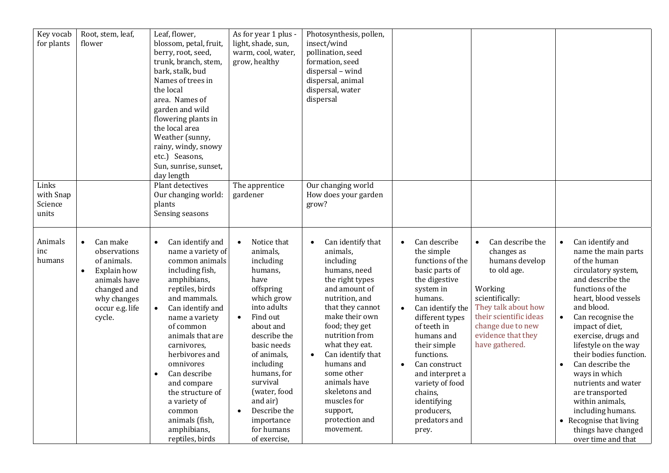| Key vocab<br>for plants                | Root, stem, leaf,<br>flower                                                                                                                                 | Leaf, flower,<br>blossom, petal, fruit,<br>berry, root, seed,<br>trunk, branch, stem,<br>bark, stalk, bud<br>Names of trees in<br>the local<br>area. Names of<br>garden and wild<br>flowering plants in<br>the local area<br>Weather (sunny,<br>rainy, windy, snowy<br>etc.) Seasons,<br>Sun, sunrise, sunset,<br>day length                                                                    | As for year 1 plus -<br>light, shade, sun,<br>warm, cool, water,<br>grow, healthy                                                                                                                                                                                                                                                  | Photosynthesis, pollen,<br>insect/wind<br>pollination, seed<br>formation, seed<br>dispersal - wind<br>dispersal, animal<br>dispersal, water<br>dispersal                                                                                                                                                                                                              |                                                                                                                                                                                                                                                                                                                                                   |                                                                                                                                                                                                             |                                                                                                                                                                                                                                                                                                                                                                                                                                                                                                                     |
|----------------------------------------|-------------------------------------------------------------------------------------------------------------------------------------------------------------|-------------------------------------------------------------------------------------------------------------------------------------------------------------------------------------------------------------------------------------------------------------------------------------------------------------------------------------------------------------------------------------------------|------------------------------------------------------------------------------------------------------------------------------------------------------------------------------------------------------------------------------------------------------------------------------------------------------------------------------------|-----------------------------------------------------------------------------------------------------------------------------------------------------------------------------------------------------------------------------------------------------------------------------------------------------------------------------------------------------------------------|---------------------------------------------------------------------------------------------------------------------------------------------------------------------------------------------------------------------------------------------------------------------------------------------------------------------------------------------------|-------------------------------------------------------------------------------------------------------------------------------------------------------------------------------------------------------------|---------------------------------------------------------------------------------------------------------------------------------------------------------------------------------------------------------------------------------------------------------------------------------------------------------------------------------------------------------------------------------------------------------------------------------------------------------------------------------------------------------------------|
| Links<br>with Snap<br>Science<br>units |                                                                                                                                                             | Plant detectives<br>Our changing world:<br>plants<br>Sensing seasons                                                                                                                                                                                                                                                                                                                            | The apprentice<br>gardener                                                                                                                                                                                                                                                                                                         | Our changing world<br>How does your garden<br>grow?                                                                                                                                                                                                                                                                                                                   |                                                                                                                                                                                                                                                                                                                                                   |                                                                                                                                                                                                             |                                                                                                                                                                                                                                                                                                                                                                                                                                                                                                                     |
| Animals<br>inc<br>humans               | Can make<br>$\bullet$<br>observations<br>of animals.<br>Explain how<br>$\bullet$<br>animals have<br>changed and<br>why changes<br>occur e.g. life<br>cycle. | Can identify and<br>$\bullet$<br>name a variety of<br>common animals<br>including fish,<br>amphibians,<br>reptiles, birds<br>and mammals.<br>Can identify and<br>name a variety<br>of common<br>animals that are<br>carnivores,<br>herbivores and<br>omnivores<br>Can describe<br>and compare<br>the structure of<br>a variety of<br>common<br>animals (fish,<br>amphibians,<br>reptiles, birds | Notice that<br>$\bullet$<br>animals,<br>including<br>humans,<br>have<br>offspring<br>which grow<br>into adults<br>Find out<br>$\bullet$<br>about and<br>describe the<br>basic needs<br>of animals,<br>including<br>humans, for<br>survival<br>(water, food<br>and air)<br>Describe the<br>importance<br>for humans<br>of exercise, | Can identify that<br>animals,<br>including<br>humans, need<br>the right types<br>and amount of<br>nutrition, and<br>that they cannot<br>make their own<br>food; they get<br>nutrition from<br>what they eat.<br>Can identify that<br>$\bullet$<br>humans and<br>some other<br>animals have<br>skeletons and<br>muscles for<br>support,<br>protection and<br>movement. | Can describe<br>$\bullet$<br>the simple<br>functions of the<br>basic parts of<br>the digestive<br>system in<br>humans.<br>Can identify the<br>different types<br>of teeth in<br>humans and<br>their simple<br>functions.<br>Can construct<br>and interpret a<br>variety of food<br>chains,<br>identifying<br>producers,<br>predators and<br>prey. | Can describe the<br>changes as<br>humans develop<br>to old age.<br>Working<br>scientifically:<br>They talk about how<br>their scientific ideas<br>change due to new<br>evidence that they<br>have gathered. | Can identify and<br>$\bullet$<br>name the main parts<br>of the human<br>circulatory system,<br>and describe the<br>functions of the<br>heart, blood vessels<br>and blood.<br>Can recognise the<br>$\bullet$<br>impact of diet,<br>exercise, drugs and<br>lifestyle on the way<br>their bodies function.<br>Can describe the<br>$\bullet$<br>ways in which<br>nutrients and water<br>are transported<br>within animals,<br>including humans.<br>• Recognise that living<br>things have changed<br>over time and that |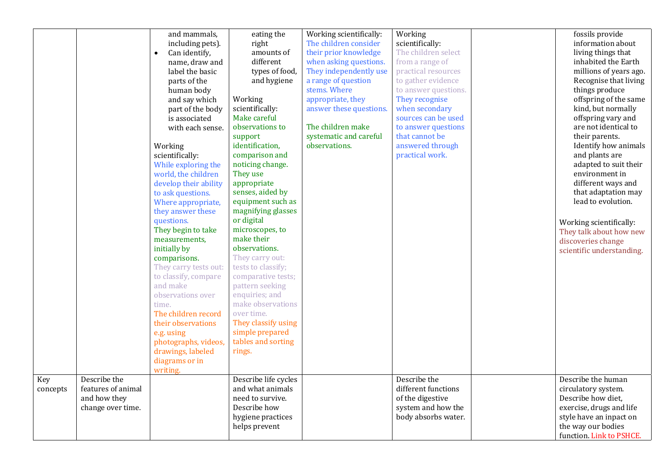|          |                    | and mammals,               | eating the           | Working scientifically: | Working              | fossils provide           |
|----------|--------------------|----------------------------|----------------------|-------------------------|----------------------|---------------------------|
|          |                    | including pets).           | right                | The children consider   | scientifically:      | information about         |
|          |                    | Can identify,<br>$\bullet$ | amounts of           | their prior knowledge   | The children select  | living things that        |
|          |                    | name, draw and             | different            | when asking questions.  | from a range of      | inhabited the Earth       |
|          |                    | label the basic            | types of food,       | They independently use  | practical resources  | millions of years ago.    |
|          |                    | parts of the               | and hygiene          | a range of question     | to gather evidence   | Recognise that living     |
|          |                    | human body                 |                      | stems. Where            | to answer questions. | things produce            |
|          |                    | and say which              | Working              | appropriate, they       | They recognise       | offspring of the same     |
|          |                    | part of the body           | scientifically:      | answer these questions. | when secondary       | kind, but normally        |
|          |                    | is associated              | Make careful         |                         | sources can be used  | offspring vary and        |
|          |                    | with each sense.           | observations to      | The children make       | to answer questions  | are not identical to      |
|          |                    |                            | support              | systematic and careful  | that cannot be       | their parents.            |
|          |                    | Working                    | identification,      | observations.           | answered through     | Identify how animals      |
|          |                    | scientifically:            | comparison and       |                         | practical work.      | and plants are            |
|          |                    | While exploring the        | noticing change.     |                         |                      | adapted to suit their     |
|          |                    | world, the children        | They use             |                         |                      | environment in            |
|          |                    | develop their ability      | appropriate          |                         |                      | different ways and        |
|          |                    | to ask questions.          | senses, aided by     |                         |                      | that adaptation may       |
|          |                    | Where appropriate,         | equipment such as    |                         |                      | lead to evolution.        |
|          |                    | they answer these          | magnifying glasses   |                         |                      |                           |
|          |                    | questions.                 | or digital           |                         |                      | Working scientifically:   |
|          |                    | They begin to take         | microscopes, to      |                         |                      | They talk about how new   |
|          |                    | measurements,              | make their           |                         |                      | discoveries change        |
|          |                    | initially by               | observations.        |                         |                      | scientific understanding. |
|          |                    | comparisons.               | They carry out:      |                         |                      |                           |
|          |                    | They carry tests out:      | tests to classify;   |                         |                      |                           |
|          |                    | to classify, compare       | comparative tests;   |                         |                      |                           |
|          |                    | and make                   | pattern seeking      |                         |                      |                           |
|          |                    | observations over          | enquiries; and       |                         |                      |                           |
|          |                    | time.                      | make observations    |                         |                      |                           |
|          |                    | The children record        | over time.           |                         |                      |                           |
|          |                    | their observations         | They classify using  |                         |                      |                           |
|          |                    | e.g. using                 | simple prepared      |                         |                      |                           |
|          |                    | photographs, videos,       | tables and sorting   |                         |                      |                           |
|          |                    | drawings, labeled          | rings.               |                         |                      |                           |
|          |                    | diagrams or in             |                      |                         |                      |                           |
|          |                    | writing.                   |                      |                         |                      |                           |
| Key      | Describe the       |                            | Describe life cycles |                         | Describe the         | Describe the human        |
| concepts | features of animal |                            | and what animals     |                         | different functions  | circulatory system.       |
|          | and how they       |                            | need to survive.     |                         | of the digestive     | Describe how diet,        |
|          | change over time.  |                            | Describe how         |                         | system and how the   | exercise, drugs and life  |
|          |                    |                            | hygiene practices    |                         | body absorbs water.  | style have an inpact on   |
|          |                    |                            | helps prevent        |                         |                      | the way our bodies        |
|          |                    |                            |                      |                         |                      | function. Link to PSHCE.  |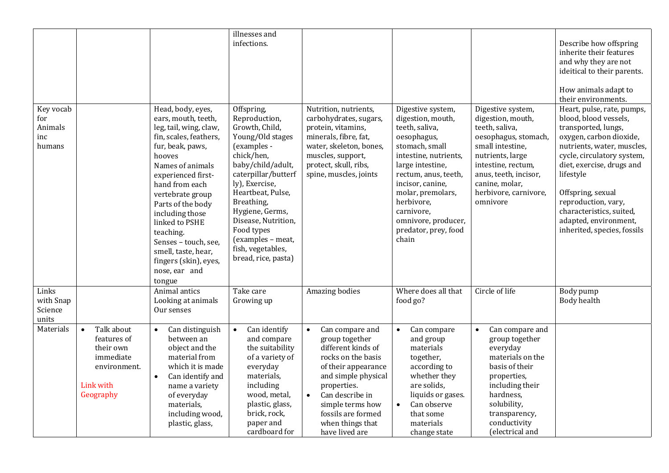|                                              |                                                                                                            |                                                                                                                                                                                                                                                                                                                                                                                      | illnesses and<br>infections.                                                                                                                                                                                                                                                                                             |                                                                                                                                                                                                                                                            |                                                                                                                                                                                                                                                                                             |                                                                                                                                                                                                                                | Describe how offspring<br>inherite their features<br>and why they are not<br>ideitical to their parents.<br>How animals adapt to<br>their environments.                                                                                                                                                                                     |
|----------------------------------------------|------------------------------------------------------------------------------------------------------------|--------------------------------------------------------------------------------------------------------------------------------------------------------------------------------------------------------------------------------------------------------------------------------------------------------------------------------------------------------------------------------------|--------------------------------------------------------------------------------------------------------------------------------------------------------------------------------------------------------------------------------------------------------------------------------------------------------------------------|------------------------------------------------------------------------------------------------------------------------------------------------------------------------------------------------------------------------------------------------------------|---------------------------------------------------------------------------------------------------------------------------------------------------------------------------------------------------------------------------------------------------------------------------------------------|--------------------------------------------------------------------------------------------------------------------------------------------------------------------------------------------------------------------------------|---------------------------------------------------------------------------------------------------------------------------------------------------------------------------------------------------------------------------------------------------------------------------------------------------------------------------------------------|
| Key vocab<br>for<br>Animals<br>inc<br>humans |                                                                                                            | Head, body, eyes,<br>ears, mouth, teeth,<br>leg, tail, wing, claw,<br>fin, scales, feathers,<br>fur, beak, paws,<br>hooves<br>Names of animals<br>experienced first-<br>hand from each<br>vertebrate group<br>Parts of the body<br>including those<br>linked to PSHE<br>teaching.<br>Senses - touch, see,<br>smell, taste, hear,<br>fingers (skin), eyes,<br>nose, ear and<br>tongue | Offspring,<br>Reproduction,<br>Growth, Child,<br>Young/Old stages<br>(examples -<br>chick/hen,<br>baby/child/adult,<br>caterpillar/butterf<br>ly), Exercise,<br>Heartbeat, Pulse,<br>Breathing,<br>Hygiene, Germs,<br>Disease, Nutrition,<br>Food types<br>(examples - meat,<br>fish, vegetables,<br>bread, rice, pasta) | Nutrition, nutrients,<br>carbohydrates, sugars,<br>protein, vitamins,<br>minerals, fibre, fat,<br>water, skeleton, bones,<br>muscles, support,<br>protect, skull, ribs,<br>spine, muscles, joints                                                          | Digestive system,<br>digestion, mouth,<br>teeth, saliva,<br>oesophagus,<br>stomach, small<br>intestine, nutrients,<br>large intestine,<br>rectum, anus, teeth,<br>incisor, canine,<br>molar, premolars,<br>herbivore,<br>carnivore,<br>omnivore, producer,<br>predator, prey, food<br>chain | Digestive system,<br>digestion, mouth,<br>teeth, saliva,<br>oesophagus, stomach,<br>small intestine,<br>nutrients, large<br>intestine, rectum,<br>anus, teeth, incisor,<br>canine, molar,<br>herbivore, carnivore,<br>omnivore | Heart, pulse, rate, pumps,<br>blood, blood vessels,<br>transported, lungs,<br>oxygen, carbon dioxide,<br>nutrients, water, muscles,<br>cycle, circulatory system,<br>diet, exercise, drugs and<br>lifestyle<br>Offspring, sexual<br>reproduction, vary,<br>characteristics, suited,<br>adapted, environment,<br>inherited, species, fossils |
| Links<br>with Snap<br>Science<br>units       |                                                                                                            | Animal antics<br>Looking at animals<br>Our senses                                                                                                                                                                                                                                                                                                                                    | Take care<br>Growing up                                                                                                                                                                                                                                                                                                  | Amazing bodies                                                                                                                                                                                                                                             | Where does all that<br>food go?                                                                                                                                                                                                                                                             | Circle of life                                                                                                                                                                                                                 | Body pump<br>Body health                                                                                                                                                                                                                                                                                                                    |
| Materials                                    | Talk about<br>$\bullet$<br>features of<br>their own<br>immediate<br>environment.<br>Link with<br>Geography | Can distinguish<br>$\bullet$<br>between an<br>object and the<br>material from<br>which it is made<br>Can identify and<br>$\bullet$<br>name a variety<br>of everyday<br>materials,<br>including wood,<br>plastic, glass,                                                                                                                                                              | Can identify<br>$\bullet$<br>and compare<br>the suitability<br>of a variety of<br>everyday<br>materials,<br>including<br>wood, metal,<br>plastic, glass,<br>brick, rock,<br>paper and<br>cardboard for                                                                                                                   | Can compare and<br>group together<br>different kinds of<br>rocks on the basis<br>of their appearance<br>and simple physical<br>properties.<br>Can describe in<br>$\bullet$<br>simple terms how<br>fossils are formed<br>when things that<br>have lived are | Can compare<br>$\bullet$<br>and group<br>materials<br>together,<br>according to<br>whether they<br>are solids,<br>liquids or gases.<br>Can observe<br>$\bullet$<br>that some<br>materials<br>change state                                                                                   | Can compare and<br>group together<br>everyday<br>materials on the<br>basis of their<br>properties,<br>including their<br>hardness,<br>solubility,<br>transparency,<br>conductivity<br>(electrical and                          |                                                                                                                                                                                                                                                                                                                                             |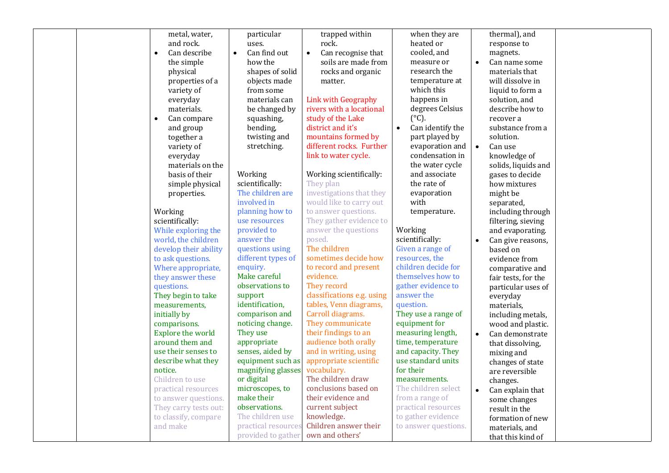|  | metal, water,            | particular                | trapped within                  | when they are                 |           | thermal), and       |  |
|--|--------------------------|---------------------------|---------------------------------|-------------------------------|-----------|---------------------|--|
|  | and rock.                | uses.                     | rock.                           | heated or                     |           | response to         |  |
|  | Can describe             | Can find out<br>$\bullet$ | Can recognise that<br>$\bullet$ | cooled, and                   |           | magnets.            |  |
|  | the simple               | how the                   | soils are made from             | measure or                    | $\bullet$ | Can name some       |  |
|  | physical                 | shapes of solid           | rocks and organic               | research the                  |           | materials that      |  |
|  | properties of a          | objects made              | matter.                         | temperature at                |           | will dissolve in    |  |
|  | variety of               | from some                 |                                 | which this                    |           | liquid to form a    |  |
|  | everyday                 | materials can             | Link with Geography             | happens in                    |           | solution, and       |  |
|  | materials.               | be changed by             | rivers with a locational        | degrees Celsius               |           | describe how to     |  |
|  | Can compare<br>$\bullet$ | squashing,                | study of the Lake               | $(^{\circ}C)$ .               |           | recover a           |  |
|  | and group                | bending,                  | district and it's               | Can identify the<br>$\bullet$ |           | substance from a    |  |
|  | together a               | twisting and              | mountains formed by             | part played by                |           | solution.           |  |
|  | variety of               | stretching.               | different rocks. Further        | evaporation and               | $\bullet$ | Can use             |  |
|  | everyday                 |                           | link to water cycle.            | condensation in               |           | knowledge of        |  |
|  | materials on the         |                           |                                 | the water cycle               |           | solids, liquids and |  |
|  | basis of their           | Working                   | Working scientifically:         | and associate                 |           | gases to decide     |  |
|  | simple physical          | scientifically:           | They plan                       | the rate of                   |           | how mixtures        |  |
|  | properties.              | The children are          | investigations that they        | evaporation                   |           | might be            |  |
|  |                          | involved in               | would like to carry out         | with                          |           | separated,          |  |
|  | Working                  | planning how to           | to answer questions.            | temperature.                  |           | including through   |  |
|  | scientifically:          | use resources             | They gather evidence to         |                               |           | filtering, sieving  |  |
|  | While exploring the      | provided to               | answer the questions            | Working                       |           | and evaporating.    |  |
|  | world, the children      | answer the                | posed.                          | scientifically:               | $\bullet$ | Can give reasons,   |  |
|  | develop their ability    | questions using           | The children                    | Given a range of              |           | based on            |  |
|  | to ask questions.        | different types of        | sometimes decide how            | resources, the                |           | evidence from       |  |
|  | Where appropriate,       | enquiry.                  | to record and present           | children decide for           |           | comparative and     |  |
|  | they answer these        | Make careful              | evidence.                       | themselves how to             |           | fair tests, for the |  |
|  | questions.               | observations to           | They record                     | gather evidence to            |           | particular uses of  |  |
|  | They begin to take       | support                   | classifications e.g. using      | answer the                    |           | everyday            |  |
|  | measurements,            | identification,           | tables, Venn diagrams,          | question.                     |           | materials,          |  |
|  | initially by             | comparison and            | Carroll diagrams.               | They use a range of           |           | including metals,   |  |
|  | comparisons.             | noticing change.          | They communicate                | equipment for                 |           | wood and plastic.   |  |
|  | <b>Explore the world</b> | They use                  | their findings to an            | measuring length,             | $\bullet$ | Can demonstrate     |  |
|  | around them and          | appropriate               | audience both orally            | time, temperature             |           | that dissolving,    |  |
|  | use their senses to      | senses, aided by          | and in writing, using           | and capacity. They            |           | mixing and          |  |
|  | describe what they       | equipment such as         | appropriate scientific          | use standard units            |           | changes of state    |  |
|  | notice.                  | magnifying glasses        | vocabulary.                     | for their                     |           | are reversible      |  |
|  | Children to use          | or digital                | The children draw               | measurements.                 |           | changes.            |  |
|  | practical resources      | microscopes, to           | conclusions based on            | The children select           | $\bullet$ | Can explain that    |  |
|  | to answer questions.     | make their                | their evidence and              | from a range of               |           | some changes        |  |
|  | They carry tests out:    | observations.             | current subject                 | practical resources           |           | result in the       |  |
|  | to classify, compare     | The children use          | knowledge.                      | to gather evidence            |           | formation of new    |  |
|  | and make                 | practical resource        | Children answer their           | to answer questions.          |           | materials, and      |  |
|  |                          | provided to gather        | own and others'                 |                               |           | that this kind of   |  |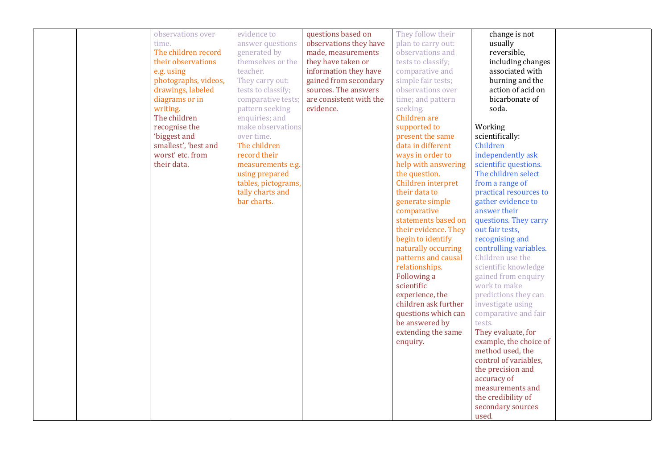| observations over    | evidence to         | questions based on      | They follow their    | change is not          |  |
|----------------------|---------------------|-------------------------|----------------------|------------------------|--|
| time.                | answer questions    | observations they have  | plan to carry out:   | usually                |  |
| The children record  | generated by        | made, measurements      | observations and     | reversible,            |  |
| their observations   | themselves or the   | they have taken or      | tests to classify;   | including changes      |  |
| e.g. using           | teacher.            | information they have   | comparative and      | associated with        |  |
| photographs, videos, | They carry out:     | gained from secondary   | simple fair tests;   | burning and the        |  |
| drawings, labeled    | tests to classify;  | sources. The answers    | observations over    | action of acid on      |  |
| diagrams or in       | comparative tests;  | are consistent with the | time; and pattern    | bicarbonate of         |  |
| writing.             | pattern seeking     | evidence.               | seeking.             | soda.                  |  |
| The children         | enquiries; and      |                         | Children are         |                        |  |
| recognise the        | make observations   |                         | supported to         | Working                |  |
| 'biggest and         | over time.          |                         | present the same     | scientifically:        |  |
| smallest', 'best and | The children        |                         | data in different    | Children               |  |
| worst' etc. from     | record their        |                         | ways in order to     | independently ask      |  |
| their data.          | measurements e.g.   |                         | help with answering  | scientific questions.  |  |
|                      | using prepared      |                         | the question.        | The children select    |  |
|                      | tables, pictograms, |                         | Children interpret   | from a range of        |  |
|                      | tally charts and    |                         | their data to        | practical resources to |  |
|                      | bar charts.         |                         | generate simple      | gather evidence to     |  |
|                      |                     |                         | comparative          | answer their           |  |
|                      |                     |                         | statements based on  | questions. They carry  |  |
|                      |                     |                         | their evidence. They | out fair tests,        |  |
|                      |                     |                         | begin to identify    | recognising and        |  |
|                      |                     |                         | naturally occurring  | controlling variables. |  |
|                      |                     |                         | patterns and causal  | Children use the       |  |
|                      |                     |                         | relationships.       | scientific knowledge   |  |
|                      |                     |                         | Following a          | gained from enquiry    |  |
|                      |                     |                         | scientific           | work to make           |  |
|                      |                     |                         | experience, the      | predictions they can   |  |
|                      |                     |                         | children ask further | investigate using      |  |
|                      |                     |                         | questions which can  | comparative and fair   |  |
|                      |                     |                         | be answered by       | tests.                 |  |
|                      |                     |                         | extending the same   | They evaluate, for     |  |
|                      |                     |                         | enquiry.             | example, the choice of |  |
|                      |                     |                         |                      | method used, the       |  |
|                      |                     |                         |                      | control of variables,  |  |
|                      |                     |                         |                      | the precision and      |  |
|                      |                     |                         |                      | accuracy of            |  |
|                      |                     |                         |                      | measurements and       |  |
|                      |                     |                         |                      | the credibility of     |  |
|                      |                     |                         |                      | secondary sources      |  |
|                      |                     |                         |                      | used.                  |  |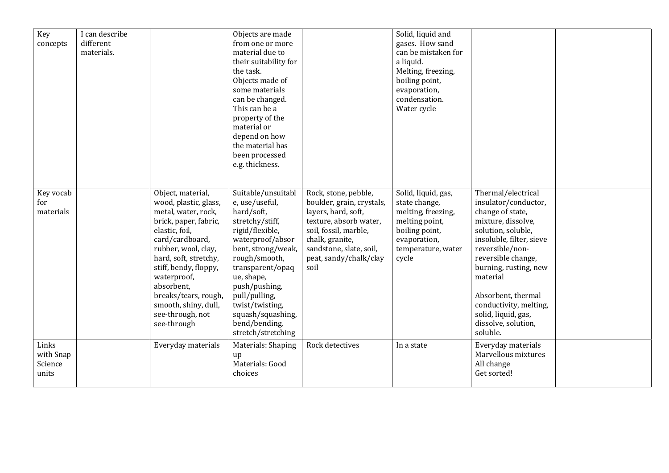| Key<br>concepts                        | I can describe<br>different<br>materials. |                                                                                                                                                                                                                                                                                                                          | Objects are made<br>from one or more<br>material due to<br>their suitability for<br>the task.<br>Objects made of<br>some materials<br>can be changed.<br>This can be a<br>property of the<br>material or<br>depend on how<br>the material has<br>been processed<br>e.g. thickness.                     |                                                                                                                                                                                                             | Solid, liquid and<br>gases. How sand<br>can be mistaken for<br>a liquid.<br>Melting, freezing,<br>boiling point,<br>evaporation,<br>condensation.<br>Water cycle |                                                                                                                                                                                                                                                                                                                                |  |
|----------------------------------------|-------------------------------------------|--------------------------------------------------------------------------------------------------------------------------------------------------------------------------------------------------------------------------------------------------------------------------------------------------------------------------|--------------------------------------------------------------------------------------------------------------------------------------------------------------------------------------------------------------------------------------------------------------------------------------------------------|-------------------------------------------------------------------------------------------------------------------------------------------------------------------------------------------------------------|------------------------------------------------------------------------------------------------------------------------------------------------------------------|--------------------------------------------------------------------------------------------------------------------------------------------------------------------------------------------------------------------------------------------------------------------------------------------------------------------------------|--|
| Key vocab<br>for<br>materials          |                                           | Object, material,<br>wood, plastic, glass,<br>metal, water, rock,<br>brick, paper, fabric,<br>elastic, foil,<br>card/cardboard,<br>rubber, wool, clay,<br>hard, soft, stretchy,<br>stiff, bendy, floppy,<br>waterproof,<br>absorbent,<br>breaks/tears, rough,<br>smooth, shiny, dull,<br>see-through, not<br>see-through | Suitable/unsuitabl<br>e, use/useful,<br>hard/soft,<br>stretchy/stiff,<br>rigid/flexible,<br>waterproof/absor<br>bent, strong/weak,<br>rough/smooth,<br>transparent/opaq<br>ue, shape,<br>push/pushing,<br>pull/pulling,<br>twist/twisting,<br>squash/squashing,<br>bend/bending,<br>stretch/stretching | Rock, stone, pebble,<br>boulder, grain, crystals,<br>layers, hard, soft,<br>texture, absorb water,<br>soil, fossil, marble,<br>chalk, granite,<br>sandstone, slate, soil,<br>peat, sandy/chalk/clay<br>soil | Solid, liquid, gas,<br>state change,<br>melting, freezing,<br>melting point,<br>boiling point,<br>evaporation,<br>temperature, water<br>cycle                    | Thermal/electrical<br>insulator/conductor,<br>change of state,<br>mixture, dissolve,<br>solution, soluble,<br>insoluble, filter, sieve<br>reversible/non-<br>reversible change,<br>burning, rusting, new<br>material<br>Absorbent, thermal<br>conductivity, melting,<br>solid, liquid, gas,<br>dissolve, solution,<br>soluble. |  |
| Links<br>with Snap<br>Science<br>units |                                           | Everyday materials                                                                                                                                                                                                                                                                                                       | Materials: Shaping<br>up<br>Materials: Good<br>choices                                                                                                                                                                                                                                                 | Rock detectives                                                                                                                                                                                             | In a state                                                                                                                                                       | Everyday materials<br>Marvellous mixtures<br>All change<br>Get sorted!                                                                                                                                                                                                                                                         |  |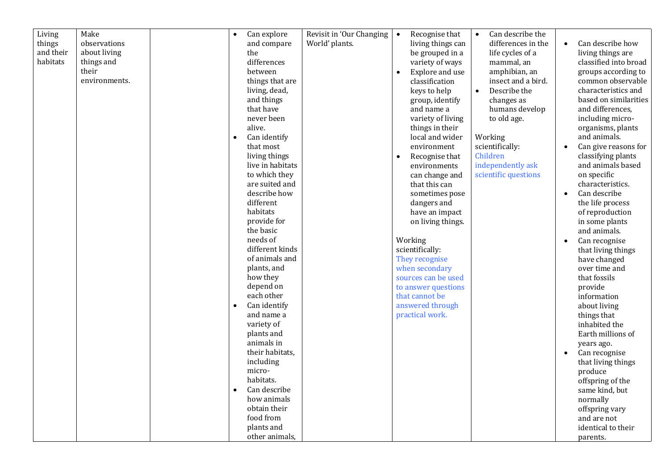| Living<br>things      | Make<br>observations       | $\bullet$ | Can explore        | Revisit in 'Our Changing<br>World' plants. | $\bullet$ | Recognise that<br>living things can | $\bullet$ | Can describe the<br>differences in the |           | Can describe how      |
|-----------------------|----------------------------|-----------|--------------------|--------------------------------------------|-----------|-------------------------------------|-----------|----------------------------------------|-----------|-----------------------|
|                       |                            |           | and compare        |                                            |           |                                     |           |                                        |           |                       |
| and their<br>habitats | about living<br>things and |           | the<br>differences |                                            |           | be grouped in a                     |           | life cycles of a                       |           | living things are     |
|                       |                            |           |                    |                                            |           | variety of ways                     |           | mammal, an                             |           | classified into broad |
|                       | their                      |           | between            |                                            | $\bullet$ | Explore and use                     |           | amphibian, an                          |           | groups according to   |
|                       | environments.              |           | things that are    |                                            |           | classification                      |           | insect and a bird.                     |           | common observable     |
|                       |                            |           | living, dead,      |                                            |           | keys to help                        | $\bullet$ | Describe the                           |           | characteristics and   |
|                       |                            |           | and things         |                                            |           | group, identify                     |           | changes as                             |           | based on similarities |
|                       |                            |           | that have          |                                            |           | and name a                          |           | humans develop                         |           | and differences,      |
|                       |                            |           | never been         |                                            |           | variety of living                   |           | to old age.                            |           | including micro-      |
|                       |                            |           | alive.             |                                            |           | things in their                     |           |                                        |           | organisms, plants     |
|                       |                            |           | Can identify       |                                            |           | local and wider                     |           | Working                                |           | and animals.          |
|                       |                            |           | that most          |                                            |           | environment                         |           | scientifically:                        |           | Can give reasons for  |
|                       |                            |           | living things      |                                            | $\bullet$ | Recognise that                      |           | Children                               |           | classifying plants    |
|                       |                            |           | live in habitats   |                                            |           | environments                        |           | independently ask                      |           | and animals based     |
|                       |                            |           | to which they      |                                            |           | can change and                      |           | scientific questions                   |           | on specific           |
|                       |                            |           | are suited and     |                                            |           | that this can                       |           |                                        |           | characteristics.      |
|                       |                            |           | describe how       |                                            |           | sometimes pose                      |           |                                        | $\bullet$ | Can describe          |
|                       |                            |           | different          |                                            |           | dangers and                         |           |                                        |           | the life process      |
|                       |                            |           | habitats           |                                            |           | have an impact                      |           |                                        |           | of reproduction       |
|                       |                            |           | provide for        |                                            |           | on living things.                   |           |                                        |           | in some plants        |
|                       |                            |           | the basic          |                                            |           |                                     |           |                                        |           | and animals.          |
|                       |                            |           | needs of           |                                            |           | Working                             |           |                                        |           | Can recognise         |
|                       |                            |           | different kinds    |                                            |           | scientifically:                     |           |                                        |           | that living things    |
|                       |                            |           | of animals and     |                                            |           | They recognise                      |           |                                        |           | have changed          |
|                       |                            |           | plants, and        |                                            |           | when secondary                      |           |                                        |           | over time and         |
|                       |                            |           | how they           |                                            |           | sources can be used                 |           |                                        |           | that fossils          |
|                       |                            |           | depend on          |                                            |           | to answer questions                 |           |                                        |           | provide               |
|                       |                            |           | each other         |                                            |           | that cannot be                      |           |                                        |           | information           |
|                       |                            | $\bullet$ | Can identify       |                                            |           | answered through                    |           |                                        |           | about living          |
|                       |                            |           | and name a         |                                            |           | practical work.                     |           |                                        |           | things that           |
|                       |                            |           | variety of         |                                            |           |                                     |           |                                        |           | inhabited the         |
|                       |                            |           | plants and         |                                            |           |                                     |           |                                        |           | Earth millions of     |
|                       |                            |           | animals in         |                                            |           |                                     |           |                                        |           | years ago.            |
|                       |                            |           | their habitats,    |                                            |           |                                     |           |                                        |           | Can recognise         |
|                       |                            |           | including          |                                            |           |                                     |           |                                        |           | that living things    |
|                       |                            |           | micro-             |                                            |           |                                     |           |                                        |           | produce               |
|                       |                            |           | habitats.          |                                            |           |                                     |           |                                        |           | offspring of the      |
|                       |                            | $\bullet$ | Can describe       |                                            |           |                                     |           |                                        |           | same kind, but        |
|                       |                            |           | how animals        |                                            |           |                                     |           |                                        |           | normally              |
|                       |                            |           | obtain their       |                                            |           |                                     |           |                                        |           | offspring vary        |
|                       |                            |           | food from          |                                            |           |                                     |           |                                        |           | and are not           |
|                       |                            |           | plants and         |                                            |           |                                     |           |                                        |           | identical to their    |
|                       |                            |           | other animals,     |                                            |           |                                     |           |                                        |           | parents.              |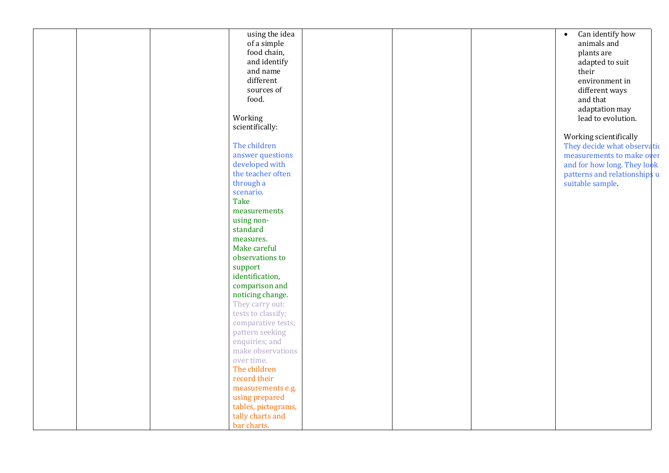|  | using the idea      |  | Can identify how<br>$\bullet$ |
|--|---------------------|--|-------------------------------|
|  | of a simple         |  | animals and                   |
|  | food chain,         |  | plants are                    |
|  | and identify        |  | adapted to suit               |
|  | and name            |  | their                         |
|  | different           |  | environment in                |
|  | sources of          |  | different ways                |
|  | food.               |  | and that                      |
|  |                     |  | adaptation may                |
|  | Working             |  | lead to evolution.            |
|  | scientifically:     |  |                               |
|  |                     |  |                               |
|  | The children        |  | Working scientifically        |
|  |                     |  | They decide what observation  |
|  | answer questions    |  | measurements to make over     |
|  | developed with      |  | and for how long. They look   |
|  | the teacher often   |  | patterns and relationships u  |
|  | through a           |  | suitable sample.              |
|  | scenario.           |  |                               |
|  | Take                |  |                               |
|  | measurements        |  |                               |
|  | using non-          |  |                               |
|  | standard            |  |                               |
|  | measures.           |  |                               |
|  | Make careful        |  |                               |
|  | observations to     |  |                               |
|  | support             |  |                               |
|  | identification,     |  |                               |
|  | comparison and      |  |                               |
|  | noticing change.    |  |                               |
|  | They carry out:     |  |                               |
|  | tests to classify;  |  |                               |
|  | comparative tests;  |  |                               |
|  | pattern seeking     |  |                               |
|  | enquiries; and      |  |                               |
|  | make observations   |  |                               |
|  | over time.          |  |                               |
|  | The children        |  |                               |
|  | record their        |  |                               |
|  | measurements e.g.   |  |                               |
|  | using prepared      |  |                               |
|  | tables, pictograms, |  |                               |
|  | tally charts and    |  |                               |
|  | bar charts.         |  |                               |
|  |                     |  |                               |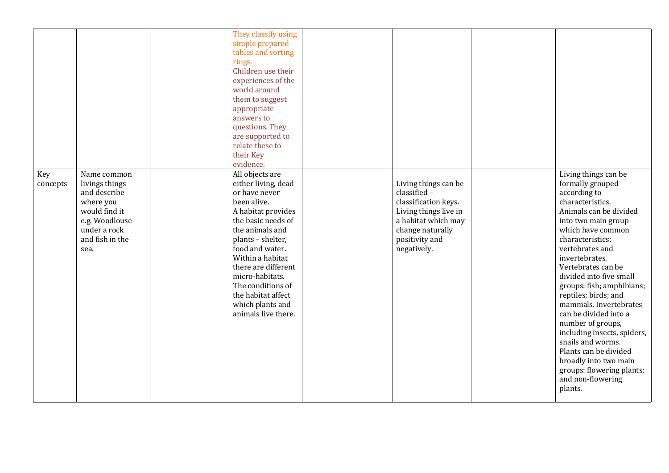|                 |                                                                                                                                          | They classify using<br>simple prepared<br>tables and sorting<br>rings.<br>Children use their<br>experiences of the<br>world around<br>them to suggest<br>appropriate<br>answers to<br>questions. They<br>are supported to<br>relate these to<br>their Key<br>evidence.                                                            |                                                                                                                                                                   |                                                                                                                                                                                                                                                                                                                                                                                                                                                                                                                                                              |
|-----------------|------------------------------------------------------------------------------------------------------------------------------------------|-----------------------------------------------------------------------------------------------------------------------------------------------------------------------------------------------------------------------------------------------------------------------------------------------------------------------------------|-------------------------------------------------------------------------------------------------------------------------------------------------------------------|--------------------------------------------------------------------------------------------------------------------------------------------------------------------------------------------------------------------------------------------------------------------------------------------------------------------------------------------------------------------------------------------------------------------------------------------------------------------------------------------------------------------------------------------------------------|
| Key<br>concepts | Name common<br>livings things<br>and describe<br>where you<br>would find it<br>e.g. Woodlouse<br>under a rock<br>and fish in the<br>sea. | All objects are<br>either living, dead<br>or have never<br>been alive.<br>A habitat provides<br>the basic needs of<br>the animals and<br>plants - shelter,<br>food and water.<br>Within a habitat<br>there are different<br>micro-habitats.<br>The conditions of<br>the habitat affect<br>which plants and<br>animals live there. | Living things can be<br>classified -<br>classification keys.<br>Living things live in<br>a habitat which may<br>change naturally<br>positivity and<br>negatively. | Living things can be<br>formally grouped<br>according to<br>characteristics.<br>Animals can be divided<br>into two main group<br>which have common<br>characteristics:<br>vertebrates and<br>invertebrates.<br>Vertebrates can be<br>divided into five small<br>groups: fish; amphibians;<br>reptiles; birds; and<br>mammals. Invertebrates<br>can be divided into a<br>number of groups,<br>including insects, spiders,<br>snails and worms.<br>Plants can be divided<br>broadly into two main<br>groups: flowering plants;<br>and non-flowering<br>plants. |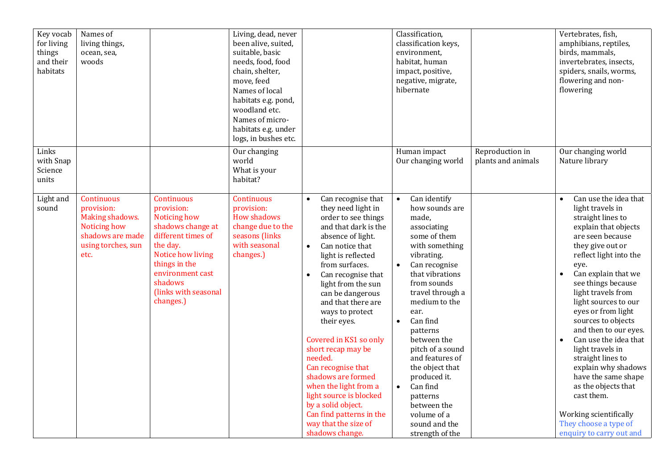| Key vocab<br>for living<br>things<br>and their<br>habitats | Names of<br>living things,<br>ocean, sea,<br>woods                                                            |                                                                                                                                                                                                                  | Living, dead, never<br>been alive, suited,<br>suitable, basic<br>needs, food, food<br>chain, shelter,<br>move, feed<br>Names of local<br>habitats e.g. pond,<br>woodland etc.<br>Names of micro-<br>habitats e.g. under<br>logs, in bushes etc. |                                                                                                                                                                                                                                                                                                                                                                                                                                                                                                                                                                                                | Classification,<br>classification keys,<br>environment,<br>habitat, human<br>impact, positive,<br>negative, migrate,<br>hibernate                                                                                                                                                                                                                                                                                                                                     |                                       | Vertebrates, fish,<br>amphibians, reptiles,<br>birds, mammals,<br>invertebrates, insects,<br>spiders, snails, worms,<br>flowering and non-<br>flowering                                                                                                                                                                                                                                                                                                                                                                                                                                        |
|------------------------------------------------------------|---------------------------------------------------------------------------------------------------------------|------------------------------------------------------------------------------------------------------------------------------------------------------------------------------------------------------------------|-------------------------------------------------------------------------------------------------------------------------------------------------------------------------------------------------------------------------------------------------|------------------------------------------------------------------------------------------------------------------------------------------------------------------------------------------------------------------------------------------------------------------------------------------------------------------------------------------------------------------------------------------------------------------------------------------------------------------------------------------------------------------------------------------------------------------------------------------------|-----------------------------------------------------------------------------------------------------------------------------------------------------------------------------------------------------------------------------------------------------------------------------------------------------------------------------------------------------------------------------------------------------------------------------------------------------------------------|---------------------------------------|------------------------------------------------------------------------------------------------------------------------------------------------------------------------------------------------------------------------------------------------------------------------------------------------------------------------------------------------------------------------------------------------------------------------------------------------------------------------------------------------------------------------------------------------------------------------------------------------|
| Links<br>with Snap<br>Science<br>units                     |                                                                                                               |                                                                                                                                                                                                                  | Our changing<br>world<br>What is your<br>habitat?                                                                                                                                                                                               |                                                                                                                                                                                                                                                                                                                                                                                                                                                                                                                                                                                                | Human impact<br>Our changing world                                                                                                                                                                                                                                                                                                                                                                                                                                    | Reproduction in<br>plants and animals | Our changing world<br>Nature library                                                                                                                                                                                                                                                                                                                                                                                                                                                                                                                                                           |
| Light and<br>sound                                         | Continuous<br>provision:<br>Making shadows.<br>Noticing how<br>shadows are made<br>using torches, sun<br>etc. | <b>Continuous</b><br>provision:<br>Noticing how<br>shadows change at<br>different times of<br>the day.<br>Notice how living<br>things in the<br>environment cast<br>shadows<br>(links with seasonal<br>changes.) | <b>Continuous</b><br>provision:<br><b>How shadows</b><br>change due to the<br>seasons (links<br>with seasonal<br>changes.)                                                                                                                      | Can recognise that<br>$\bullet$<br>they need light in<br>order to see things<br>and that dark is the<br>absence of light.<br>Can notice that<br>$\bullet$<br>light is reflected<br>from surfaces.<br>Can recognise that<br>$\bullet$<br>light from the sun<br>can be dangerous<br>and that there are<br>ways to protect<br>their eyes.<br>Covered in KS1 so only<br>short recap may be<br>needed.<br>Can recognise that<br>shadows are formed<br>when the light from a<br>light source is blocked<br>by a solid object.<br>Can find patterns in the<br>way that the size of<br>shadows change. | Can identify<br>$\bullet$<br>how sounds are<br>made,<br>associating<br>some of them<br>with something<br>vibrating.<br>Can recognise<br>$\bullet$<br>that vibrations<br>from sounds<br>travel through a<br>medium to the<br>ear.<br>Can find<br>$\bullet$<br>patterns<br>between the<br>pitch of a sound<br>and features of<br>the object that<br>produced it.<br>Can find<br>$\bullet$<br>patterns<br>between the<br>volume of a<br>sound and the<br>strength of the |                                       | Can use the idea that<br>light travels in<br>straight lines to<br>explain that objects<br>are seen because<br>they give out or<br>reflect light into the<br>eye.<br>Can explain that we<br>$\bullet$<br>see things because<br>light travels from<br>light sources to our<br>eyes or from light<br>sources to objects<br>and then to our eyes.<br>Can use the idea that<br>$\bullet$<br>light travels in<br>straight lines to<br>explain why shadows<br>have the same shape<br>as the objects that<br>cast them.<br>Working scientifically<br>They choose a type of<br>enquiry to carry out and |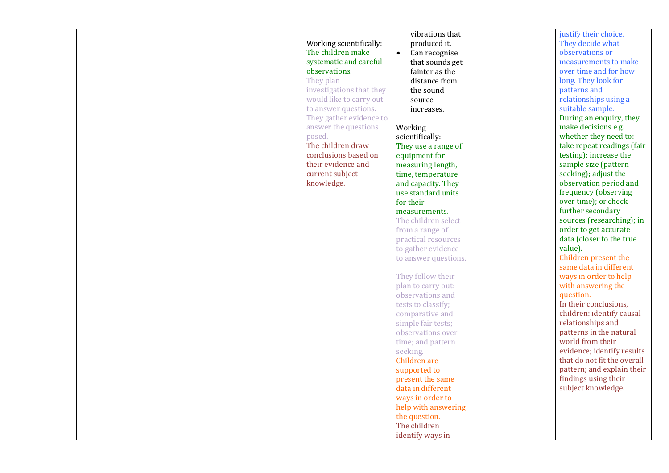|  |                          | vibrations that            | justify their choice.       |
|--|--------------------------|----------------------------|-----------------------------|
|  | Working scientifically:  | produced it.               | They decide what            |
|  | The children make        | Can recognise<br>$\bullet$ | observations or             |
|  | systematic and careful   | that sounds get            | measurements to make        |
|  | observations.            | fainter as the             | over time and for how       |
|  | They plan                | distance from              | long. They look for         |
|  | investigations that they | the sound                  | patterns and                |
|  | would like to carry out  | source                     | relationships using a       |
|  | to answer questions.     | increases.                 | suitable sample.            |
|  | They gather evidence to  |                            | During an enquiry, they     |
|  | answer the questions     | Working                    | make decisions e.g.         |
|  | posed.                   | scientifically:            | whether they need to:       |
|  | The children draw        | They use a range of        | take repeat readings (fair  |
|  | conclusions based on     | equipment for              | testing); increase the      |
|  | their evidence and       | measuring length,          | sample size (pattern        |
|  | current subject          | time, temperature          | seeking); adjust the        |
|  | knowledge.               | and capacity. They         | observation period and      |
|  |                          | use standard units         | frequency (observing        |
|  |                          | for their                  | over time); or check        |
|  |                          | measurements.              | further secondary           |
|  |                          | The children select        | sources (researching); in   |
|  |                          |                            | order to get accurate       |
|  |                          | from a range of            | data (closer to the true    |
|  |                          | practical resources        | value).                     |
|  |                          | to gather evidence         | Children present the        |
|  |                          | to answer questions.       | same data in different      |
|  |                          |                            |                             |
|  |                          | They follow their          | ways in order to help       |
|  |                          | plan to carry out:         | with answering the          |
|  |                          | observations and           | question.                   |
|  |                          | tests to classify;         | In their conclusions,       |
|  |                          | comparative and            | children: identify causal   |
|  |                          | simple fair tests;         | relationships and           |
|  |                          | observations over          | patterns in the natural     |
|  |                          | time; and pattern          | world from their            |
|  |                          | seeking.                   | evidence; identify results  |
|  |                          | Children are               | that do not fit the overall |
|  |                          | supported to               | pattern; and explain their  |
|  |                          | present the same           | findings using their        |
|  |                          | data in different          | subject knowledge.          |
|  |                          | ways in order to           |                             |
|  |                          | help with answering        |                             |
|  |                          | the question.              |                             |
|  |                          | The children               |                             |
|  |                          | identify ways in           |                             |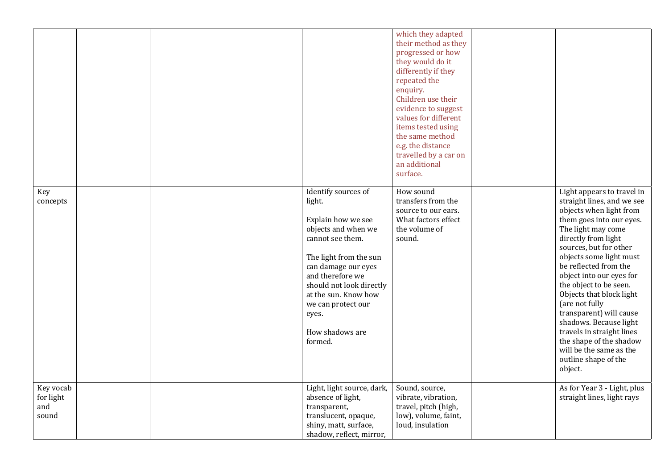|                                        |  |                                                                                                                                                                                                                                                                                      | which they adapted<br>their method as they<br>progressed or how<br>they would do it<br>differently if they<br>repeated the<br>enquiry.<br>Children use their<br>evidence to suggest<br>values for different |                                                                                                                                                                                                                                                                                                                                                                                                                                                                                                                           |
|----------------------------------------|--|--------------------------------------------------------------------------------------------------------------------------------------------------------------------------------------------------------------------------------------------------------------------------------------|-------------------------------------------------------------------------------------------------------------------------------------------------------------------------------------------------------------|---------------------------------------------------------------------------------------------------------------------------------------------------------------------------------------------------------------------------------------------------------------------------------------------------------------------------------------------------------------------------------------------------------------------------------------------------------------------------------------------------------------------------|
|                                        |  |                                                                                                                                                                                                                                                                                      | items tested using<br>the same method<br>e.g. the distance<br>travelled by a car on<br>an additional<br>surface.                                                                                            |                                                                                                                                                                                                                                                                                                                                                                                                                                                                                                                           |
| Key<br>concepts                        |  | Identify sources of<br>light.<br>Explain how we see<br>objects and when we<br>cannot see them.<br>The light from the sun<br>can damage our eyes<br>and therefore we<br>should not look directly<br>at the sun. Know how<br>we can protect our<br>eyes.<br>How shadows are<br>formed. | How sound<br>transfers from the<br>source to our ears.<br>What factors effect<br>the volume of<br>sound.                                                                                                    | Light appears to travel in<br>straight lines, and we see<br>objects when light from<br>them goes into our eyes.<br>The light may come<br>directly from light<br>sources, but for other<br>objects some light must<br>be reflected from the<br>object into our eyes for<br>the object to be seen.<br>Objects that block light<br>(are not fully<br>transparent) will cause<br>shadows. Because light<br>travels in straight lines<br>the shape of the shadow<br>will be the same as the<br>outline shape of the<br>object. |
| Key vocab<br>for light<br>and<br>sound |  | Light, light source, dark,<br>absence of light,<br>transparent,<br>translucent, opaque,<br>shiny, matt, surface,<br>shadow, reflect, mirror,                                                                                                                                         | Sound, source,<br>vibrate, vibration,<br>travel, pitch (high,<br>low), volume, faint,<br>loud, insulation                                                                                                   | As for Year 3 - Light, plus<br>straight lines, light rays                                                                                                                                                                                                                                                                                                                                                                                                                                                                 |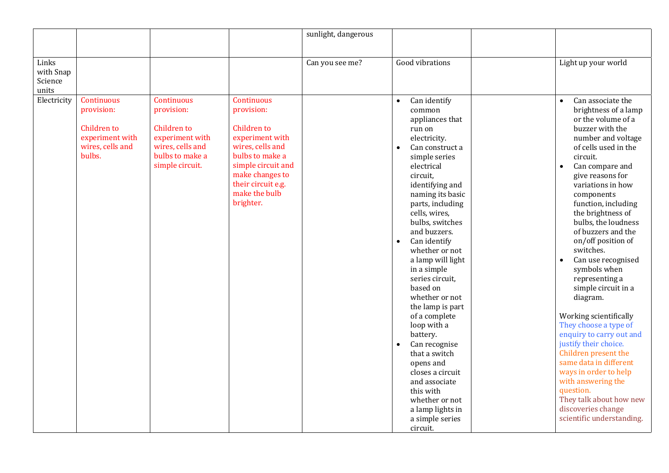|                                        |                                                                                                 |                                                                                                                             |                                                                                                                                                                                                       | sunlight, dangerous |                                                                                                                                                                                                                                                                                                                                                                                                                                                                                                                                                                                                                                                      |                                                                                                                                                                                                                                                                                                                                                                                                                                                                                                                                                                                                                                                                                                                                                                             |
|----------------------------------------|-------------------------------------------------------------------------------------------------|-----------------------------------------------------------------------------------------------------------------------------|-------------------------------------------------------------------------------------------------------------------------------------------------------------------------------------------------------|---------------------|------------------------------------------------------------------------------------------------------------------------------------------------------------------------------------------------------------------------------------------------------------------------------------------------------------------------------------------------------------------------------------------------------------------------------------------------------------------------------------------------------------------------------------------------------------------------------------------------------------------------------------------------------|-----------------------------------------------------------------------------------------------------------------------------------------------------------------------------------------------------------------------------------------------------------------------------------------------------------------------------------------------------------------------------------------------------------------------------------------------------------------------------------------------------------------------------------------------------------------------------------------------------------------------------------------------------------------------------------------------------------------------------------------------------------------------------|
|                                        |                                                                                                 |                                                                                                                             |                                                                                                                                                                                                       |                     |                                                                                                                                                                                                                                                                                                                                                                                                                                                                                                                                                                                                                                                      |                                                                                                                                                                                                                                                                                                                                                                                                                                                                                                                                                                                                                                                                                                                                                                             |
| Links<br>with Snap<br>Science<br>units |                                                                                                 |                                                                                                                             |                                                                                                                                                                                                       | Can you see me?     | Good vibrations                                                                                                                                                                                                                                                                                                                                                                                                                                                                                                                                                                                                                                      | Light up your world                                                                                                                                                                                                                                                                                                                                                                                                                                                                                                                                                                                                                                                                                                                                                         |
| Electricity                            | Continuous<br>provision:<br><b>Children</b> to<br>experiment with<br>wires, cells and<br>bulbs. | Continuous<br>provision:<br><b>Children</b> to<br>experiment with<br>wires, cells and<br>bulbs to make a<br>simple circuit. | Continuous<br>provision:<br><b>Children</b> to<br>experiment with<br>wires, cells and<br>bulbs to make a<br>simple circuit and<br>make changes to<br>their circuit e.g.<br>make the bulb<br>brighter. |                     | Can identify<br>$\bullet$<br>common<br>appliances that<br>run on<br>electricity.<br>Can construct a<br>simple series<br>electrical<br>circuit,<br>identifying and<br>naming its basic<br>parts, including<br>cells, wires,<br>bulbs, switches<br>and buzzers.<br>Can identify<br>$\bullet$<br>whether or not<br>a lamp will light<br>in a simple<br>series circuit,<br>based on<br>whether or not<br>the lamp is part<br>of a complete<br>loop with a<br>battery.<br>Can recognise<br>$\bullet$<br>that a switch<br>opens and<br>closes a circuit<br>and associate<br>this with<br>whether or not<br>a lamp lights in<br>a simple series<br>circuit. | Can associate the<br>$\bullet$<br>brightness of a lamp<br>or the volume of a<br>buzzer with the<br>number and voltage<br>of cells used in the<br>circuit.<br>Can compare and<br>$\bullet$<br>give reasons for<br>variations in how<br>components<br>function, including<br>the brightness of<br>bulbs, the loudness<br>of buzzers and the<br>on/off position of<br>switches.<br>Can use recognised<br>symbols when<br>representing a<br>simple circuit in a<br>diagram.<br>Working scientifically<br>They choose a type of<br>enquiry to carry out and<br>justify their choice.<br>Children present the<br>same data in different<br>ways in order to help<br>with answering the<br>question.<br>They talk about how new<br>discoveries change<br>scientific understanding. |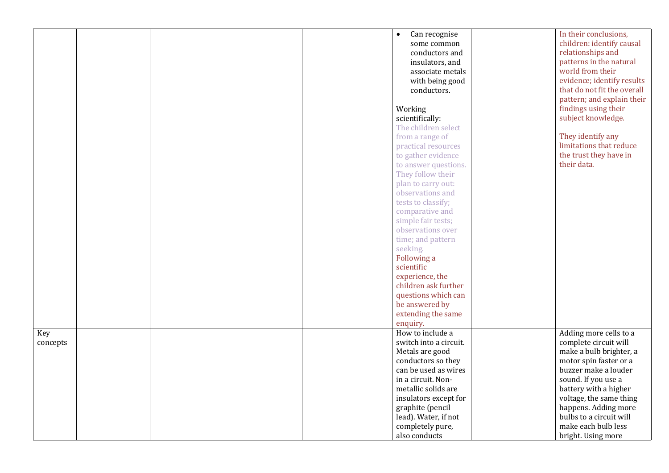|          |  |  | Can recognise<br>$\bullet$ | In their conclusions,       |
|----------|--|--|----------------------------|-----------------------------|
|          |  |  | some common                | children: identify causal   |
|          |  |  | conductors and             | relationships and           |
|          |  |  | insulators, and            | patterns in the natural     |
|          |  |  | associate metals           | world from their            |
|          |  |  | with being good            | evidence; identify results  |
|          |  |  | conductors.                | that do not fit the overall |
|          |  |  |                            | pattern; and explain their  |
|          |  |  | Working                    | findings using their        |
|          |  |  |                            | subject knowledge.          |
|          |  |  | scientifically:            |                             |
|          |  |  | The children select        |                             |
|          |  |  | from a range of            | They identify any           |
|          |  |  | practical resources        | limitations that reduce     |
|          |  |  | to gather evidence         | the trust they have in      |
|          |  |  | to answer questions.       | their data.                 |
|          |  |  | They follow their          |                             |
|          |  |  | plan to carry out:         |                             |
|          |  |  | observations and           |                             |
|          |  |  | tests to classify;         |                             |
|          |  |  | comparative and            |                             |
|          |  |  | simple fair tests;         |                             |
|          |  |  | observations over          |                             |
|          |  |  | time; and pattern          |                             |
|          |  |  | seeking.                   |                             |
|          |  |  | Following a                |                             |
|          |  |  | scientific                 |                             |
|          |  |  | experience, the            |                             |
|          |  |  | children ask further       |                             |
|          |  |  | questions which can        |                             |
|          |  |  | be answered by             |                             |
|          |  |  |                            |                             |
|          |  |  | extending the same         |                             |
|          |  |  | enquiry.                   |                             |
| Key      |  |  | How to include a           | Adding more cells to a      |
| concepts |  |  | switch into a circuit.     | complete circuit will       |
|          |  |  | Metals are good            | make a bulb brighter, a     |
|          |  |  | conductors so they         | motor spin faster or a      |
|          |  |  | can be used as wires       | buzzer make a louder        |
|          |  |  | in a circuit. Non-         | sound. If you use a         |
|          |  |  | metallic solids are        | battery with a higher       |
|          |  |  | insulators except for      | voltage, the same thing     |
|          |  |  | graphite (pencil           | happens. Adding more        |
|          |  |  | lead). Water, if not       | bulbs to a circuit will     |
|          |  |  | completely pure,           | make each bulb less         |
|          |  |  | also conducts              | bright. Using more          |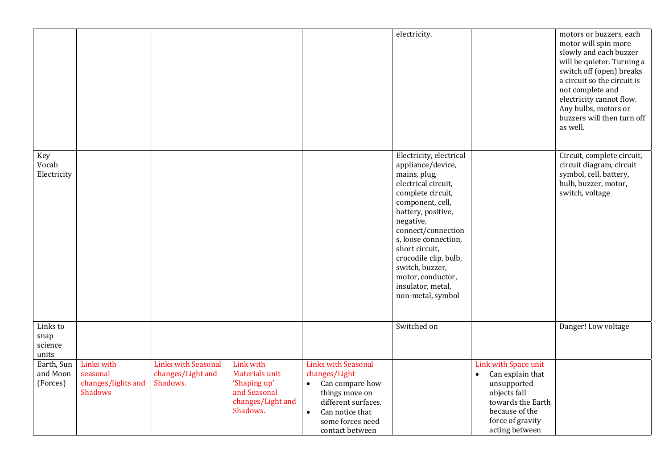|                                      |                                                                |                                                             |                                                                                                     |                                                                                                                                                                                      | electricity.                                                                                                                                                                                                                                                                                                                               |                                                                                                                                                                   | motors or buzzers, each<br>motor will spin more<br>slowly and each buzzer<br>will be quieter. Turning a<br>switch off (open) breaks<br>a circuit so the circuit is<br>not complete and<br>electricity cannot flow.<br>Any bulbs, motors or<br>buzzers will then turn off<br>as well. |
|--------------------------------------|----------------------------------------------------------------|-------------------------------------------------------------|-----------------------------------------------------------------------------------------------------|--------------------------------------------------------------------------------------------------------------------------------------------------------------------------------------|--------------------------------------------------------------------------------------------------------------------------------------------------------------------------------------------------------------------------------------------------------------------------------------------------------------------------------------------|-------------------------------------------------------------------------------------------------------------------------------------------------------------------|--------------------------------------------------------------------------------------------------------------------------------------------------------------------------------------------------------------------------------------------------------------------------------------|
| Key<br>Vocab<br>Electricity          |                                                                |                                                             |                                                                                                     |                                                                                                                                                                                      | Electricity, electrical<br>appliance/device,<br>mains, plug,<br>electrical circuit,<br>complete circuit,<br>component, cell,<br>battery, positive,<br>negative,<br>connect/connection<br>s, loose connection,<br>short circuit,<br>crocodile clip, bulb,<br>switch, buzzer,<br>motor, conductor,<br>insulator, metal,<br>non-metal, symbol |                                                                                                                                                                   | Circuit, complete circuit,<br>circuit diagram, circuit<br>symbol, cell, battery,<br>bulb, buzzer, motor,<br>switch, voltage                                                                                                                                                          |
| Links to<br>snap<br>science<br>units |                                                                |                                                             |                                                                                                     |                                                                                                                                                                                      | Switched on                                                                                                                                                                                                                                                                                                                                |                                                                                                                                                                   | Danger! Low voltage                                                                                                                                                                                                                                                                  |
| Earth, Sun<br>and Moon<br>(Forces)   | Links with<br>seasonal<br>changes/lights and<br><b>Shadows</b> | <b>Links with Seasonal</b><br>changes/Light and<br>Shadows. | Link with<br><b>Materials unit</b><br>'Shaping up'<br>and Seasonal<br>changes/Light and<br>Shadows. | Links with Seasonal<br>changes/Light<br>Can compare how<br>$\bullet$<br>things move on<br>different surfaces.<br>Can notice that<br>$\bullet$<br>some forces need<br>contact between |                                                                                                                                                                                                                                                                                                                                            | Link with Space unit<br>Can explain that<br>$\bullet$<br>unsupported<br>objects fall<br>towards the Earth<br>because of the<br>force of gravity<br>acting between |                                                                                                                                                                                                                                                                                      |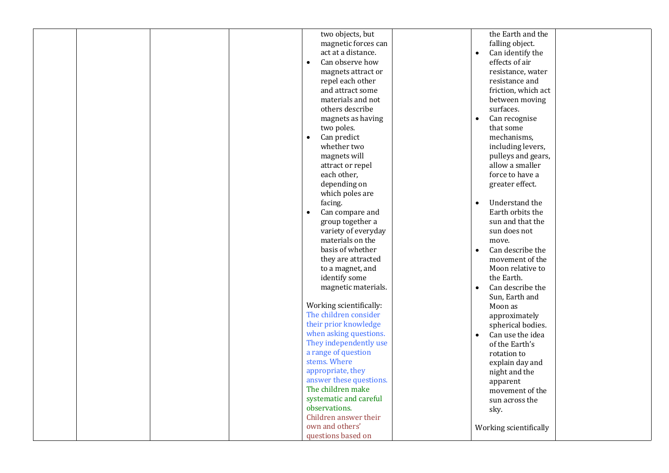| two objects, but                             | the Earth and the                 |
|----------------------------------------------|-----------------------------------|
| magnetic forces can                          | falling object.                   |
| act at a distance.                           | Can identify the<br>$\bullet$     |
| Can observe how<br>$\bullet$                 | effects of air                    |
| magnets attract or                           | resistance, water                 |
| repel each other                             | resistance and                    |
| and attract some                             | friction, which act               |
| materials and not                            | between moving                    |
| others describe                              | surfaces.                         |
| magnets as having                            | Can recognise<br>$\bullet$        |
| two poles.                                   | that some                         |
| Can predict<br>$\bullet$                     | mechanisms,                       |
| whether two                                  | including levers,                 |
| magnets will                                 | pulleys and gears,                |
| attract or repel                             | allow a smaller                   |
| each other,                                  | force to have a                   |
| depending on                                 | greater effect.                   |
| which poles are                              |                                   |
| facing.                                      | Understand the<br>$\bullet$       |
| Can compare and<br>$\bullet$                 | Earth orbits the                  |
| group together a                             | sun and that the                  |
| variety of everyday                          | sun does not                      |
| materials on the                             | move.                             |
| basis of whether                             | Can describe the                  |
| they are attracted                           | movement of the                   |
| to a magnet, and                             | Moon relative to                  |
| identify some                                | the Earth.                        |
| magnetic materials.                          | Can describe the                  |
|                                              | Sun, Earth and                    |
| Working scientifically:                      | Moon as                           |
| The children consider                        | approximately                     |
| their prior knowledge                        | spherical bodies.                 |
| when asking questions.                       | Can use the idea                  |
| They independently use                       | of the Earth's                    |
| a range of question<br>stems. Where          | rotation to                       |
|                                              | explain day and                   |
| appropriate, they<br>answer these questions. | night and the                     |
| The children make                            | apparent                          |
| systematic and careful                       | movement of the<br>sun across the |
| observations.                                |                                   |
| Children answer their                        | sky.                              |
| own and others'                              | Working scientifically            |
| questions based on                           |                                   |
|                                              |                                   |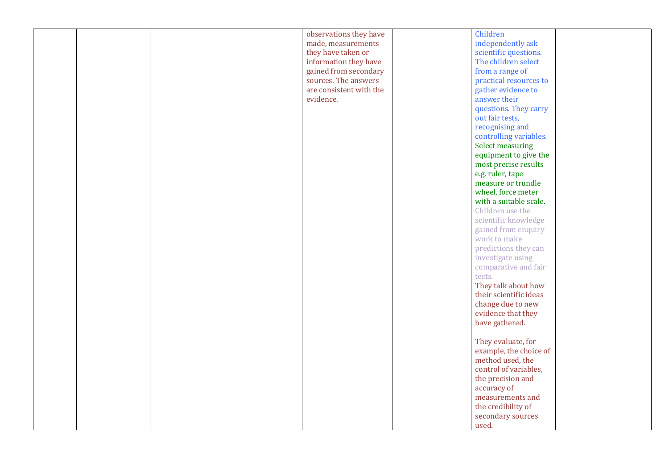|  | observations they have  | Children               |
|--|-------------------------|------------------------|
|  | made, measurements      | independently ask      |
|  | they have taken or      | scientific questions.  |
|  | information they have   | The children select    |
|  | gained from secondary   | from a range of        |
|  | sources. The answers    | practical resources to |
|  | are consistent with the | gather evidence to     |
|  | evidence.               | answer their           |
|  |                         | questions. They carry  |
|  |                         |                        |
|  |                         | out fair tests,        |
|  |                         | recognising and        |
|  |                         | controlling variables. |
|  |                         | Select measuring       |
|  |                         | equipment to give the  |
|  |                         | most precise results   |
|  |                         | e.g. ruler, tape       |
|  |                         | measure or trundle     |
|  |                         | wheel, force meter     |
|  |                         | with a suitable scale. |
|  |                         | Children use the       |
|  |                         | scientific knowledge   |
|  |                         | gained from enquiry    |
|  |                         | work to make           |
|  |                         |                        |
|  |                         | predictions they can   |
|  |                         | investigate using      |
|  |                         | comparative and fair   |
|  |                         | tests.                 |
|  |                         | They talk about how    |
|  |                         | their scientific ideas |
|  |                         | change due to new      |
|  |                         | evidence that they     |
|  |                         | have gathered.         |
|  |                         |                        |
|  |                         | They evaluate, for     |
|  |                         | example, the choice of |
|  |                         | method used, the       |
|  |                         | control of variables,  |
|  |                         | the precision and      |
|  |                         |                        |
|  |                         | accuracy of            |
|  |                         | measurements and       |
|  |                         | the credibility of     |
|  |                         | secondary sources      |
|  |                         | used.                  |